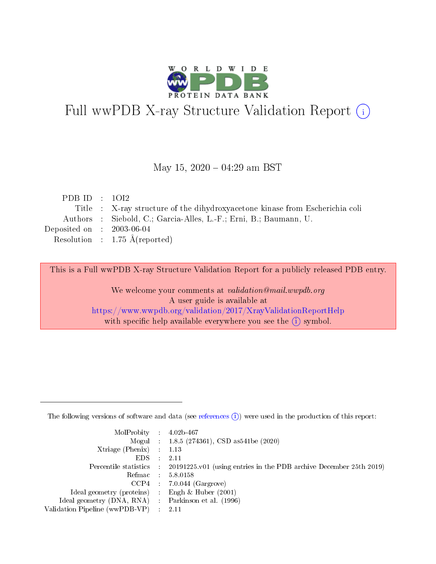

# Full wwPDB X-ray Structure Validation Report (i)

#### May 15,  $2020 - 04:29$  am BST

| PDB ID : $1012$                      |                                                                              |
|--------------------------------------|------------------------------------------------------------------------------|
|                                      | Title : X-ray structure of the dihydroxyacetone kinase from Escherichia coli |
|                                      | Authors : Siebold, C.; Garcia-Alles, L.-F.; Erni, B.; Baumann, U.            |
| Deposited on $\therefore$ 2003-06-04 |                                                                              |
|                                      | Resolution : $1.75 \text{ Å}$ (reported)                                     |
|                                      |                                                                              |

This is a Full wwPDB X-ray Structure Validation Report for a publicly released PDB entry.

We welcome your comments at validation@mail.wwpdb.org A user guide is available at <https://www.wwpdb.org/validation/2017/XrayValidationReportHelp> with specific help available everywhere you see the  $(i)$  symbol.

The following versions of software and data (see [references](https://www.wwpdb.org/validation/2017/XrayValidationReportHelp#references)  $(1)$ ) were used in the production of this report:

| MolProbity : $4.02b-467$                            |                                                                                            |
|-----------------------------------------------------|--------------------------------------------------------------------------------------------|
|                                                     | Mogul : $1.8.5$ (274361), CSD as 541be (2020)                                              |
| $Xtriangle (Phenix)$ : 1.13                         |                                                                                            |
| $EDS$ :                                             | -2.11                                                                                      |
|                                                     | Percentile statistics : 20191225.v01 (using entries in the PDB archive December 25th 2019) |
| Refmac : 5.8.0158                                   |                                                                                            |
|                                                     | $CCP4$ 7.0.044 (Gargrove)                                                                  |
| Ideal geometry (proteins) : Engh $\&$ Huber (2001)  |                                                                                            |
| Ideal geometry (DNA, RNA) : Parkinson et al. (1996) |                                                                                            |
| Validation Pipeline (wwPDB-VP) : 2.11               |                                                                                            |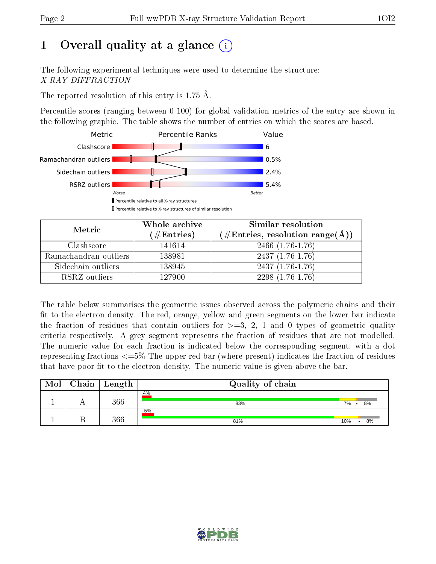# 1 [O](https://www.wwpdb.org/validation/2017/XrayValidationReportHelp#overall_quality)verall quality at a glance  $(i)$

The following experimental techniques were used to determine the structure: X-RAY DIFFRACTION

The reported resolution of this entry is 1.75 Å.

Percentile scores (ranging between 0-100) for global validation metrics of the entry are shown in the following graphic. The table shows the number of entries on which the scores are based.



| Metric                | Whole archive<br>$(\#\text{Entries})$ | Similar resolution<br>$(\#\text{Entries}, \text{resolution range}(\AA))$ |
|-----------------------|---------------------------------------|--------------------------------------------------------------------------|
| Clashscore            | 141614                                | 2466 (1.76-1.76)                                                         |
| Ramachandran outliers | 138981                                | $2437(1.76-1.76)$                                                        |
| Sidechain outliers    | 138945                                | $2437(1.76-1.76)$                                                        |
| RSRZ outliers         | 127900                                | $2298(1.76-1.76)$                                                        |

The table below summarises the geometric issues observed across the polymeric chains and their fit to the electron density. The red, orange, yellow and green segments on the lower bar indicate the fraction of residues that contain outliers for  $\geq=3$ , 2, 1 and 0 types of geometric quality criteria respectively. A grey segment represents the fraction of residues that are not modelled. The numeric value for each fraction is indicated below the corresponding segment, with a dot representing fractions  $\epsilon = 5\%$  The upper red bar (where present) indicates the fraction of residues that have poor fit to the electron density. The numeric value is given above the bar.

| Mol | Chain | Length | Quality of chain |     |    |
|-----|-------|--------|------------------|-----|----|
|     |       | 366    | 4%<br>83%        | 7%  | 8% |
|     |       | 366    | 5%<br>81%        | 10% | 8% |

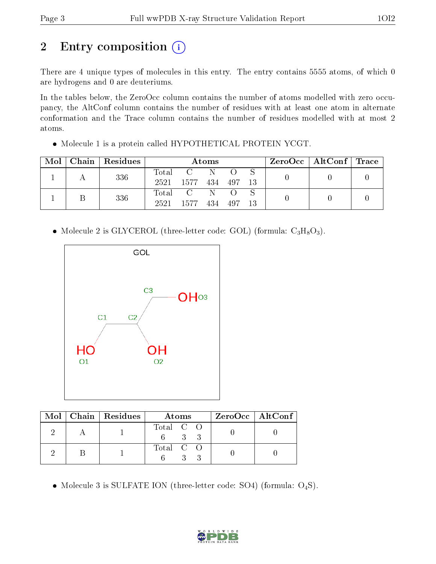# 2 Entry composition (i)

There are 4 unique types of molecules in this entry. The entry contains 5555 atoms, of which 0 are hydrogens and 0 are deuteriums.

In the tables below, the ZeroOcc column contains the number of atoms modelled with zero occupancy, the AltConf column contains the number of residues with at least one atom in alternate conformation and the Trace column contains the number of residues modelled with at most 2 atoms.

Molecule 1 is a protein called HYPOTHETICAL PROTEIN YCGT.

| Mol |  | Chain   Residues | Atoms |                               |              |     |    | $\text{ZeroOcc}$   AltConf   Trace |  |  |
|-----|--|------------------|-------|-------------------------------|--------------|-----|----|------------------------------------|--|--|
|     |  | 336              | Total |                               | N            |     |    |                                    |  |  |
|     |  |                  | 2521  | 1577                          | 434          | 497 | 13 |                                    |  |  |
|     |  | 336              | Total | $\mathbf{C}$ and $\mathbf{C}$ | $\mathbb{N}$ |     |    |                                    |  |  |
|     |  | 2521             | 1577  | 434                           | 497          | 13  |    |                                    |  |  |

• Molecule 2 is GLYCEROL (three-letter code: GOL) (formula:  $C_3H_8O_3$ ).



|  | Mol   Chain   Residues | Atoms     | $ZeroOcc \   \$ AltConf |
|--|------------------------|-----------|-------------------------|
|  |                        | Total C O |                         |
|  |                        | Total C O |                         |

• Molecule 3 is SULFATE ION (three-letter code: SO4) (formula:  $O_4S$ ).

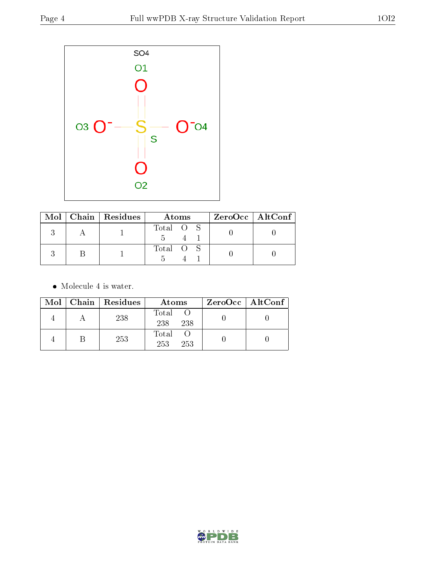

|  | $Mol$   Chain   Residues | Atoms     | $ZeroOcc \   \$ AltConf |
|--|--------------------------|-----------|-------------------------|
|  |                          | Total O S |                         |
|  |                          | Total O S |                         |

• Molecule 4 is water.

|  | Mol   Chain   Residues | Atoms               | $ZeroOcc \mid AltConf \mid$ |
|--|------------------------|---------------------|-----------------------------|
|  | 238                    | Total<br>238<br>238 |                             |
|  | 253                    | Total<br>253<br>253 |                             |

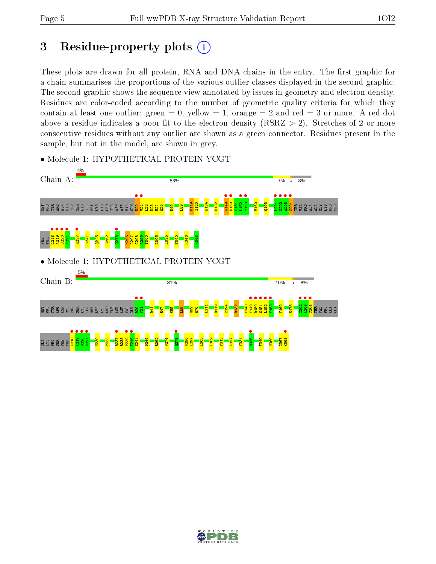## 3 Residue-property plots  $(i)$

These plots are drawn for all protein, RNA and DNA chains in the entry. The first graphic for a chain summarises the proportions of the various outlier classes displayed in the second graphic. The second graphic shows the sequence view annotated by issues in geometry and electron density. Residues are color-coded according to the number of geometric quality criteria for which they contain at least one outlier: green  $= 0$ , yellow  $= 1$ , orange  $= 2$  and red  $= 3$  or more. A red dot above a residue indicates a poor fit to the electron density (RSRZ  $> 2$ ). Stretches of 2 or more consecutive residues without any outlier are shown as a green connector. Residues present in the sample, but not in the model, are shown in grey.



• Molecule 1: HYPOTHETICAL PROTEIN YCGT

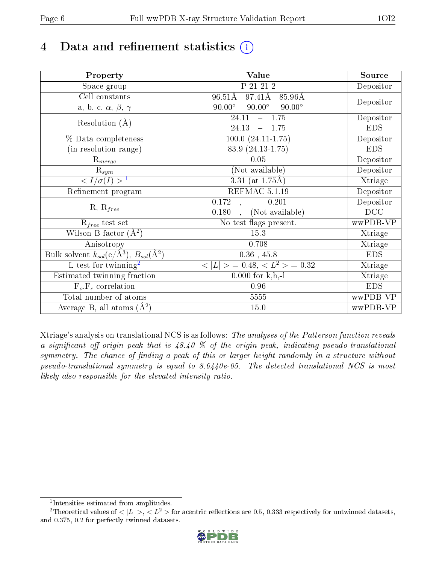# 4 Data and refinement statistics  $(i)$

| Property                                                             | Value                                           | Source     |
|----------------------------------------------------------------------|-------------------------------------------------|------------|
| Space group                                                          | P 21 21 2                                       | Depositor  |
| Cell constants                                                       | 97.41Å<br>$96.51\text{\AA}$<br>85.96Å           |            |
| a, b, c, $\alpha$ , $\beta$ , $\gamma$                               | $90.00^\circ$<br>$90.00^\circ$<br>$90.00^\circ$ | Depositor  |
| Resolution $(A)$                                                     | 24.11<br>$-1.75$                                | Depositor  |
|                                                                      | 24.13<br>1.75<br>$\equiv$                       | <b>EDS</b> |
| % Data completeness                                                  | $100.0 (24.11 - 1.75)$                          | Depositor  |
| (in resolution range)                                                | 83.9 (24.13-1.75)                               | <b>EDS</b> |
| $R_{merge}$                                                          | 0.05                                            | Depositor  |
| $\mathrm{R}_{sym}$                                                   | (Not available)                                 | Depositor  |
| $\langle I/\sigma(I) \rangle^{-1}$                                   | 3.31 (at $1.75\text{\AA}$ )                     | Xtriage    |
| Refinement program                                                   | REFMAC 5.1.19                                   | Depositor  |
|                                                                      | 0.201<br>0.172                                  | Depositor  |
| $R, R_{free}$                                                        | (Not available)<br>0.180                        | DCC        |
| $R_{free}$ test set                                                  | No test flags present.                          | wwPDB-VP   |
| Wilson B-factor $(A^2)$                                              | 15.3                                            | Xtriage    |
| Anisotropy                                                           | 0.708                                           | Xtriage    |
| Bulk solvent $k_{sol}(e/\mathring{A}^3)$ , $B_{sol}(\mathring{A}^2)$ | $0.36$ , 45.8                                   | <b>EDS</b> |
| $\overline{L-test for }$ twinning <sup>2</sup>                       | $>$ = 0.48, < $L^2$ > = 0.32<br>< L             | Xtriage    |
| Estimated twinning fraction                                          | $0.000$ for k,h,-l                              | Xtriage    |
| $F_o, F_c$ correlation                                               | 0.96                                            | <b>EDS</b> |
| Total number of atoms                                                | 5555                                            | wwPDB-VP   |
| Average B, all atoms $(A^2)$                                         | $15.0\,$                                        | wwPDB-VP   |

Xtriage's analysis on translational NCS is as follows: The analyses of the Patterson function reveals a significant off-origin peak that is  $48.40\%$  of the origin peak, indicating pseudo-translational symmetry. The chance of finding a peak of this or larger height randomly in a structure without pseudo-translational symmetry is equal to 8.6440e-05. The detected translational NCS is most likely also responsible for the elevated intensity ratio.

<sup>&</sup>lt;sup>2</sup>Theoretical values of  $\langle |L| \rangle$ ,  $\langle L^2 \rangle$  for acentric reflections are 0.5, 0.333 respectively for untwinned datasets, and 0.375, 0.2 for perfectly twinned datasets.



<span id="page-5-1"></span><span id="page-5-0"></span><sup>1</sup> Intensities estimated from amplitudes.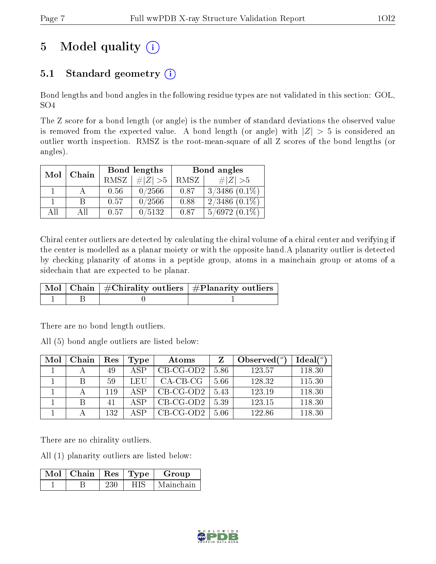# 5 Model quality  $(i)$

## 5.1 Standard geometry  $(i)$

Bond lengths and bond angles in the following residue types are not validated in this section: GOL, SO4

The Z score for a bond length (or angle) is the number of standard deviations the observed value is removed from the expected value. A bond length (or angle) with  $|Z| > 5$  is considered an outlier worth inspection. RMSZ is the root-mean-square of all Z scores of the bond lengths (or angles).

| Mol | Chain |      | Bond lengths | Bond angles |                    |  |
|-----|-------|------|--------------|-------------|--------------------|--|
|     |       | RMSZ | $\ Z\  > 5$  | RMSZ        | # $ Z  > 5$        |  |
|     |       | 0.56 | 0/2566       | 0.87        | $3/3486$ $(0.1\%)$ |  |
|     | B     | 0.57 | 0/2566       | 0.88        | $2/3486$ $(0.1\%)$ |  |
| AH  | ΑH    | 0.57 | 0/5132       | 0.87        | $5/6972(0.1\%)$    |  |

Chiral center outliers are detected by calculating the chiral volume of a chiral center and verifying if the center is modelled as a planar moiety or with the opposite hand.A planarity outlier is detected by checking planarity of atoms in a peptide group, atoms in a mainchain group or atoms of a sidechain that are expected to be planar.

|  | $\mid$ Mol $\mid$ Chain $\mid$ #Chirality outliers $\mid$ #Planarity outliers $'$ |
|--|-----------------------------------------------------------------------------------|
|  |                                                                                   |

There are no bond length outliers.

All (5) bond angle outliers are listed below:

| Mol | Chain | Res | Type | Atoms       |      | Observed $(°)$ | Ideal $(°)$ |
|-----|-------|-----|------|-------------|------|----------------|-------------|
|     |       | 49  | A SP | $CB-CG-OD2$ | 5.86 | 123.57         | 118.30      |
|     |       | 59  | LEU  | $CA-CB-CG$  | 5.66 | 128.32         | 115.30      |
|     |       | 119 | ASP  | $CB-CG-OD2$ | 5.43 | 123.19         | 118.30      |
|     |       | 41  | A SP | $CB-CG-OD2$ | 5.39 | 123.15         | 118.30      |
|     |       | 132 | A SP | $CB-CG-OD2$ | 5.06 | 122.86         | 118.30      |

There are no chirality outliers.

All (1) planarity outliers are listed below:

| $Mol$   Chain | $\operatorname{Res}$   $\operatorname{Type}$ | Group     |
|---------------|----------------------------------------------|-----------|
|               | HIS                                          | Mainchain |

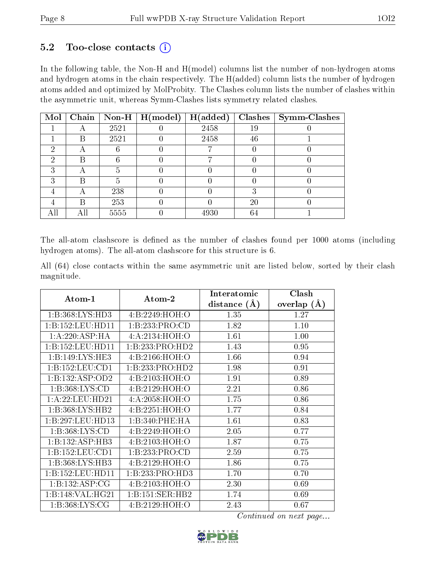### $5.2$  Too-close contacts  $(i)$

In the following table, the Non-H and H(model) columns list the number of non-hydrogen atoms and hydrogen atoms in the chain respectively. The H(added) column lists the number of hydrogen atoms added and optimized by MolProbity. The Clashes column lists the number of clashes within the asymmetric unit, whereas Symm-Clashes lists symmetry related clashes.

| Mol |   |      | Chain   Non-H   H(model) | H(added) |    | $Clashes$   Symm-Clashes |
|-----|---|------|--------------------------|----------|----|--------------------------|
|     |   | 2521 |                          | 2458     | 19 |                          |
|     | B | 2521 |                          | 2458     | 46 |                          |
| റ   |   |      |                          |          |    |                          |
| ച   | В |      |                          |          |    |                          |
| 3   | A |      |                          |          |    |                          |
| 3   | R |      |                          |          |    |                          |
|     | A | 238  |                          |          |    |                          |
|     | В | 253  |                          |          | 20 |                          |
|     |   | 5555 |                          | 4930     | 64 |                          |

The all-atom clashscore is defined as the number of clashes found per 1000 atoms (including hydrogen atoms). The all-atom clashscore for this structure is 6.

All (64) close contacts within the same asymmetric unit are listed below, sorted by their clash magnitude.

|                     | Atom-2            | Interatomic    | Clash           |  |
|---------------------|-------------------|----------------|-----------------|--|
| Atom-1              |                   | distance $(A)$ | overlap $(\AA)$ |  |
| 1: B: 368: LYS: HD3 | 4: B: 2249: HOH:O | 1.35           | 1.27            |  |
| 1:B:152:LEU:HD11    | 1:B:233:PRO:CD    | 1.82           | 1.10            |  |
| 1:A:220:ASP:HA      | 4:A:2134:HOH:O    | 1.61           | 1.00            |  |
| 1:B:152:LEU:HD11    | 1:B:233:PRO:HD2   | 1.43           | 0.95            |  |
| 1:B:149:LYS:HE3     | 4:B:2166:HOH:O    | 1.66           | 0.94            |  |
| 1:B:152:LEU:CD1     | 1:B:233:PRO:HD2   | 1.98           | 0.91            |  |
| 1:B:132:ASP:OD2     | 4: B: 2103: HOH:O | 1.91           | 0.89            |  |
| 1:B:368:LYS:CD      | 4: B: 2129: HOH:O | 2.21           | 0.86            |  |
| 1:A:22:LEU:HD21     | 4:A:2058:HOH:O    | 1.75           | 0.86            |  |
| 1: B: 368: LYS: HB2 | 4:B:2251:HOH:O    | 1.77           | 0.84            |  |
| 1:B:297:LEU:HD13    | 1:B:340:PHE:HA    | 1.61           | 0.83            |  |
| 1:B:368:LYS:CD      | 4:B:2249:HOH:O    | 2.05           | 0.77            |  |
| 1:B:132:ASP:HB3     | 4: B: 2103: HOH:O | 1.87           | 0.75            |  |
| 1:B:152:LEU:CD1     | 1:B:233:PRO:CD    | 2.59           | 0.75            |  |
| 1:B:368:LYS:HB3     | 4: B: 2129: HOH:O | 1.86           | 0.75            |  |
| 1:B:152:LEU:HD11    | 1:B:233:PRO:HD3   | 1.70           | 0.70            |  |
| 1:B:132:ASP:CG      | 4:B:2103:HOH:O    | 2.30           | 0.69            |  |
| 1:B:148:VAL:HG21    | 1:B:151:SER:HB2   | 1.74           | 0.69            |  |
| 1: B: 368: LYS: CG  | 4: B: 2129: HOH:O | 2.43           | 0.67            |  |

Continued on next page...

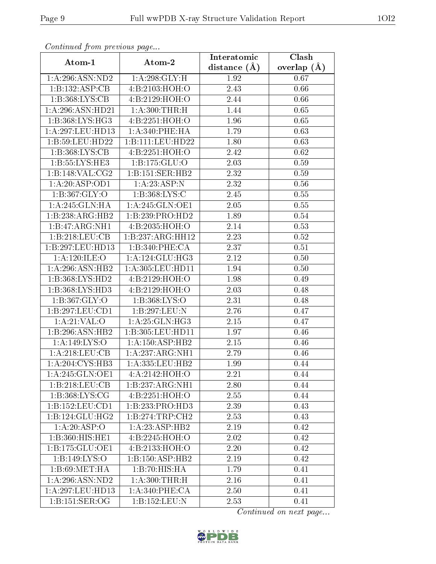| Comunaca jiom previous page |                              | Interatomic    | Clash         |  |
|-----------------------------|------------------------------|----------------|---------------|--|
| Atom-1                      | Atom-2                       | distance $(A)$ | overlap $(A)$ |  |
| 1:A:296:ASN:ND2             | 1: A:298: GLY: H             | 1.92           | 0.67          |  |
| 1:B:132:ASP:CB              | 4:B:2103:HOH:O               | 2.43           | 0.66          |  |
| 1: B: 368: LYS: CB          | 4:B:2129:HOH:O               | 2.44           | 0.66          |  |
| 1:A:296:ASN:HD21            | 1: A:300:THR:H               | 1.44           | 0.65          |  |
| 1: B: 368: LYS: HG3         | 4:B:2251:HOH:O               | 1.96           | 0.65          |  |
| 1:A:297:LEU:HD13            | 1:A:340:PHE:HA               | 1.79           | 0.63          |  |
| 1:B:59:LEU:HD22             | 1:B:111:LEU:HD22             | 1.80           | 0.63          |  |
| 1: B: 368: LYS: CB          | 4:B:2251:HOH:O               | 2.42           | 0.62          |  |
| 1: B: 55: LYS: HE3          | 1:B:175:GLU:O                | 2.03           | 0.59          |  |
| 1:B:148:VAL:CG2             | 1:B:151:SER:HB2              | 2.32           | 0.59          |  |
| 1:A:20:ASP:OD1              | 1: A: 23: ASP: N             | 2.32           | 0.56          |  |
| 1:B:367:GLY:O               | 1:B:368:LYS:C                | 2.45           | $0.55\,$      |  |
| 1: A:245: GLN: HA           | 1: A:245: GLN:OE1            | 2.05           | 0.55          |  |
| 1:B:238:ARG:HB2             | 1:B:239:PRO:HD2              | 1.89           | 0.54          |  |
| 1:B:47:ARG:NH1              | 4:B:2035:HOH:O               | 2.14           | 0.53          |  |
| 1:B:218:LEU:CB              | 1:B:237:ARG:HH12             | 2.23           | 0.52          |  |
| 1:B:297:LEU:HD13            | 1:B:340:PHE:CA               | 2.37           | 0.51          |  |
| 1:A:120:ILE:O               | 1: A:124: GLU:HG3            | 2.12           | 0.50          |  |
| 1:A:296:ASN:HB2             | 1:A:305:LEU:HD11             | 1.94           | 0.50          |  |
| 1:B:368:LYS:HD2             | 4:B:2129:HOH:O               | 1.98           | 0.49          |  |
| 1: B: 368: LYS: HD3         | 4:B:2129:HOH:O               | 2.03           | 0.48          |  |
| 1: B: 367: GLY: O           | 1: B: 368: LYS: O            | 2.31           | 0.48          |  |
| 1:B:297:LEU:CD1             | 1:B:297:LEU:N                | 2.76           | 0.47          |  |
| 1: A:21:VAL:O               | 1: A:25: GLN:HG3             | 2.15           | 0.47          |  |
| 1:B:296:ASN:HB2             | 1:B:305:LEU:HD11             | 1.97           | 0.46          |  |
| 1: A: 149: LYS: O           | 1:A:150:ASP:HB2              | 2.15           | 0.46          |  |
| 1:A:218:LEU:CB              | 1:A:237:ARG:NH1              | 2.79           | 0.46          |  |
| 1:A:204:CYS:HB3             | 1:A:335:LEU:HB2              | 1.99           | 0.44          |  |
| 1:A:245:GLN:OE1             | 4:A:2142:HOH:O               | 2.21           | 0.44          |  |
| 1:B:218:LEU:CB              | 1:B:237:ARG:NH1              | 2.80           | 0.44          |  |
| 1:B:368:LYS:CG              | 4:B:2251:HOH:O               | 2.55           | 0.44          |  |
| 1: B: 152: LEU: CD1         | $1:B:233:PRO:\overline{HD3}$ | 2.39           | 0.43          |  |
| 1:B:124:GLU:HG2             | 1:B:274:TRP:CH2              | 2.53           | 0.43          |  |
| 1:A:20:ASP:O                | 1: A:23: ASP:HB2             | 2.19           | 0.42          |  |
| 1:B:360:HIS:HE1             | 4:B:2245:HOH:O               | 2.02           | 0.42          |  |
| 1:B:175:GLU:OE1             | 4: B: 2133: HOH:O            | 2.20           | 0.42          |  |
| 1:B:149:LYS:O               | 1:B:150:ASP:HB2              | 2.19           | 0.42          |  |
| 1:B:69:MET:HA               | 1:B:70:HIS:HA                | 1.79           | 0.41          |  |
| $1:$ A:296:ASN:ND2          | 1: A:300:THR:H               | 2.16           | 0.41          |  |
| 1:A:297:LEU:HD13            | 1: A:340: PHE:CA             | 2.50           | 0.41          |  |
| 1: B: 151: SER: OG          | 1:B:152:LEU:N                | 2.53           | 0.41          |  |

Continued from previous page.

Continued on next page...

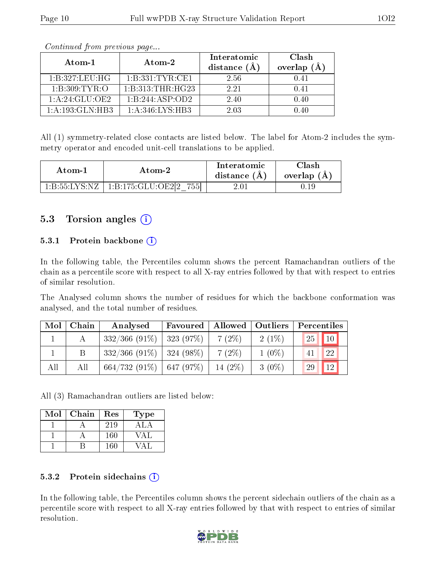| Atom-1           | Atom-2           | Interatomic<br>distance $(A)$ | Clash<br>overlap $(A)$ |
|------------------|------------------|-------------------------------|------------------------|
| 1:B:327:LEU:HG   | 1:B:331:TYR:CE1  | 2.56                          | 0.41                   |
| 1:B:309:TYR:O    | 1:B:313:THR:HG23 | 2.21                          | በ 41                   |
| 1: A:24: GLU:OE2 | 1:B:244:ASP:OD2  | 2.40                          | 0.40                   |
| 1:A:193:GLN:HB3  | 1: A:346:LYS:HB3 | 2.03                          | በ 4በ                   |

Continued from previous page...

All (1) symmetry-related close contacts are listed below. The label for Atom-2 includes the symmetry operator and encoded unit-cell translations to be applied.

| Atom-1        | Atom-2                                              | Interatomic<br>distance $(A)$ | $\cap$ lash<br>overlap $(A)$ |
|---------------|-----------------------------------------------------|-------------------------------|------------------------------|
| 1 B 55 LYS NZ | 755<br>$1 \cdot R \cdot 175 \cdot GLLI \cdot OE212$ | 2.07                          |                              |

### 5.3 Torsion angles (i)

#### 5.3.1 Protein backbone (i)

In the following table, the Percentiles column shows the percent Ramachandran outliers of the chain as a percentile score with respect to all X-ray entries followed by that with respect to entries of similar resolution.

The Analysed column shows the number of residues for which the backbone conformation was analysed, and the total number of residues.

| Mol | Chain | Analysed                      | Favoured | Allowed   | $\mid$ Outliers | Percentiles         |
|-----|-------|-------------------------------|----------|-----------|-----------------|---------------------|
|     |       | $332/366$ (91\%)   323 (97\%) |          | $7(2\%)$  | $2(1\%)$        | <b>25</b><br> 10    |
|     |       | $332/366$ (91\%)   324 (98\%) |          | $7(2\%)$  | $1(0\%)$        | 22                  |
| All | All   | $664/732(91\%)$ 647 (97\%)    |          | 14 $(2%)$ | $3(0\%)$        | <sup>12</sup><br>29 |

All (3) Ramachandran outliers are listed below:

| Mol | Chain | Res | <b>Type</b>      |
|-----|-------|-----|------------------|
|     |       | 219 | A <sub>L</sub> A |
|     |       | 160 | VАI              |
|     |       | 160 |                  |

#### 5.3.2 Protein sidechains  $(i)$

In the following table, the Percentiles column shows the percent sidechain outliers of the chain as a percentile score with respect to all X-ray entries followed by that with respect to entries of similar resolution.

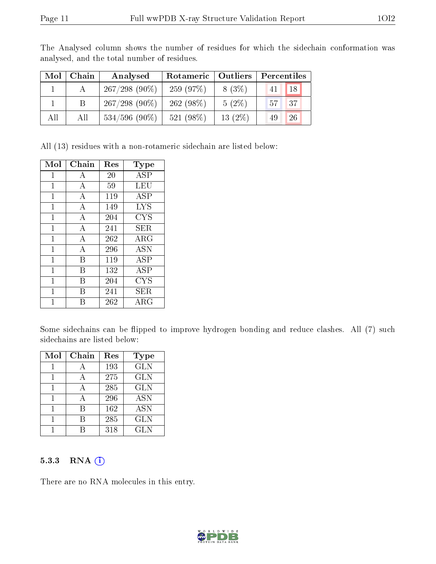| Mol | Chain | Analysed         | Rotameric   Outliers |          | Percentiles |  |  |
|-----|-------|------------------|----------------------|----------|-------------|--|--|
|     |       | $267/298$ (90%)  | 259(97%)             | $8(3\%)$ | 18<br>41    |  |  |
|     | B.    | $267/298(90\%)$  | $262(98\%)$          | $5(2\%)$ | 57<br>137'  |  |  |
| All | All   | $534/596$ (90\%) | 521 $(98\%)$         | 13(2%)   | 26<br>49    |  |  |

The Analysed column shows the number of residues for which the sidechain conformation was analysed, and the total number of residues.

All (13) residues with a non-rotameric sidechain are listed below:

| Mol | Chain | $\operatorname{Res}$ | Type        |
|-----|-------|----------------------|-------------|
| 1   | А     | 20                   | ASP         |
| 1   | А     | 59                   | LEU         |
| 1   | А     | 119                  | ASP         |
| 1   | А     | 149                  | <b>LYS</b>  |
| 1   | А     | 204                  | <b>CYS</b>  |
| 1   | А     | 241                  | ${\rm SER}$ |
| 1   | А     | 262                  | ${\rm ARG}$ |
| 1   | А     | 296                  | ASN         |
| 1   | В     | 119                  | ASP         |
| 1   | В     | 132                  | <b>ASP</b>  |
| 1   | В     | 204                  | <b>CYS</b>  |
| 1   | R     | 241                  | SER.        |
| 1   | R     | 262                  | ${\rm ARG}$ |

Some sidechains can be flipped to improve hydrogen bonding and reduce clashes. All (7) such sidechains are listed below:

| Mol | Chain | Res | Type       |
|-----|-------|-----|------------|
|     |       | 193 | <b>GLN</b> |
|     |       | 275 | <b>GLN</b> |
|     |       | 285 | <b>GLN</b> |
|     |       | 296 | <b>ASN</b> |
|     |       | 162 | <b>ASN</b> |
|     |       | 285 | <b>GLN</b> |
|     |       | 318 | <b>GLN</b> |

#### 5.3.3 RNA [O](https://www.wwpdb.org/validation/2017/XrayValidationReportHelp#rna)i

There are no RNA molecules in this entry.

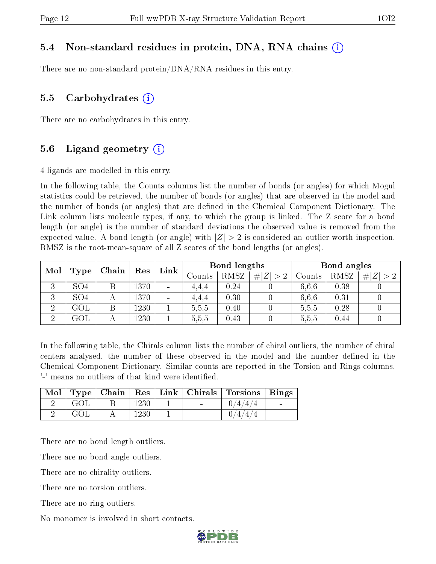#### 5.4 Non-standard residues in protein, DNA, RNA chains (i)

There are no non-standard protein/DNA/RNA residues in this entry.

#### 5.5 Carbohydrates  $(i)$

There are no carbohydrates in this entry.

#### 5.6 Ligand geometry  $(i)$

4 ligands are modelled in this entry.

In the following table, the Counts columns list the number of bonds (or angles) for which Mogul statistics could be retrieved, the number of bonds (or angles) that are observed in the model and the number of bonds (or angles) that are dened in the Chemical Component Dictionary. The Link column lists molecule types, if any, to which the group is linked. The Z score for a bond length (or angle) is the number of standard deviations the observed value is removed from the expected value. A bond length (or angle) with  $|Z| > 2$  is considered an outlier worth inspection. RMSZ is the root-mean-square of all Z scores of the bond lengths (or angles).

| Mol | Chain           |   | Res  | Link                     | Bond lengths |        | Bond angles |             |        |      |             |
|-----|-----------------|---|------|--------------------------|--------------|--------|-------------|-------------|--------|------|-------------|
|     | Type            |   |      |                          |              | Counts | RMSZ        | # $ Z  > 2$ | Counts | RMSZ | Z  > 2<br># |
| 3   | SO <sub>4</sub> |   | 1370 | $\blacksquare$           | 4,4,4        | 0.24   |             | 6.6.6       | 0.38   |      |             |
| 3   | SO <sub>4</sub> | А | 1370 | $\overline{\phantom{a}}$ | 4.4.4        | 0.30   |             | 6.6.6       | 0.31   |      |             |
| റ   | <b>GOL</b>      |   | 1230 |                          | 5,5,5        | 0.40   |             | 5,5,5       | 0.28   |      |             |
| ച   | GOL             |   | 1230 |                          | 5,5,5        | 0.43   |             | 5,5,5       | 0.44   |      |             |

In the following table, the Chirals column lists the number of chiral outliers, the number of chiral centers analysed, the number of these observed in the model and the number defined in the Chemical Component Dictionary. Similar counts are reported in the Torsion and Rings columns. '-' means no outliers of that kind were identified.

|     |      |                                   | Mol   Type   Chain   Res   Link   Chirals   Torsions   Rings |                          |
|-----|------|-----------------------------------|--------------------------------------------------------------|--------------------------|
| GOL | 1230 | <b>Contract Contract Contract</b> | 4/4/4                                                        |                          |
| GOL | 1230 |                                   |                                                              | $\overline{\phantom{0}}$ |

There are no bond length outliers.

There are no bond angle outliers.

There are no chirality outliers.

There are no torsion outliers.

There are no ring outliers.

No monomer is involved in short contacts.

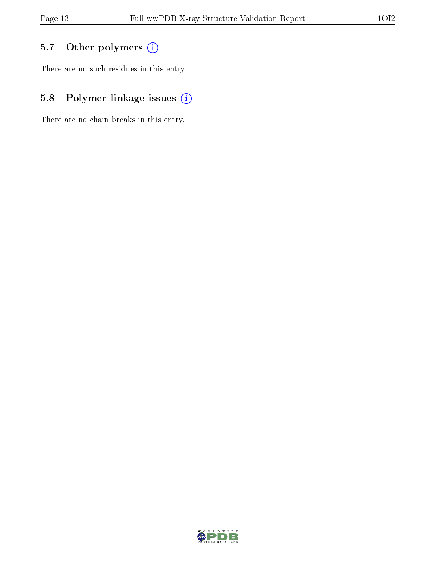## 5.7 [O](https://www.wwpdb.org/validation/2017/XrayValidationReportHelp#nonstandard_residues_and_ligands)ther polymers (i)

There are no such residues in this entry.

## 5.8 Polymer linkage issues (i)

There are no chain breaks in this entry.

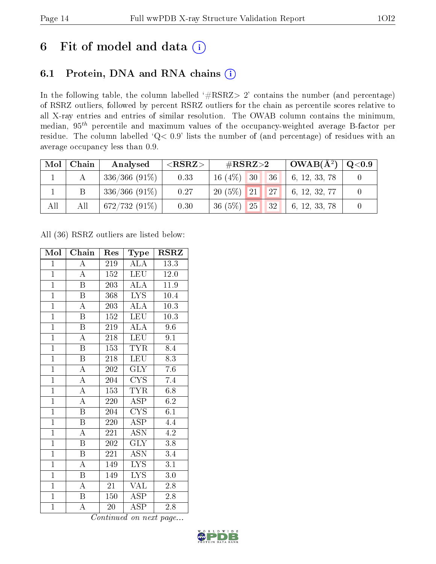## 6 Fit of model and data  $(i)$

### 6.1 Protein, DNA and RNA chains  $(i)$

In the following table, the column labelled  $#RSRZ> 2'$  contains the number (and percentage) of RSRZ outliers, followed by percent RSRZ outliers for the chain as percentile scores relative to all X-ray entries and entries of similar resolution. The OWAB column contains the minimum, median,  $95<sup>th</sup>$  percentile and maximum values of the occupancy-weighted average B-factor per residue. The column labelled ' $Q< 0.9$ ' lists the number of (and percentage) of residues with an average occupancy less than 0.9.

| Mol | Chain | Analysed        | $<$ RSRZ $>$ | # $RSRZ>2$                                          | $\mid$ OWAB( $\rm \AA^2) \mid$ | $\mid \text{Q} {<} 0.9 \mid$ |
|-----|-------|-----------------|--------------|-----------------------------------------------------|--------------------------------|------------------------------|
|     |       | $336/366(91\%)$ | 0.33         | 30<br>16 $(4%)$<br>36 <sup>1</sup>                  | 6, 12, 33, 78                  |                              |
|     |       | $336/366(91\%)$ | 0.27         | $20(5\%)$ 21<br>$\vert$ 27 $\vert$                  | 6, 12, 32, 77                  |                              |
| All | All   | $672/732(91\%)$ | 0.30         | $36(5\%)$<br>$\blacksquare$ 25 $\blacksquare$<br>32 | 6, 12, 33, 78                  |                              |

All (36) RSRZ outliers are listed below:

| Mol            | Chain                     | Res | <b>Type</b>                     | <b>RSRZ</b>      |
|----------------|---------------------------|-----|---------------------------------|------------------|
| $\mathbf{1}$   | $\overline{\rm A}$        | 219 | ALA                             | 13.3             |
| $\mathbf{1}$   | $\overline{\rm A}$        | 152 | <b>LEU</b>                      | 12.0             |
| $\overline{1}$ | B                         | 203 | ALA                             | 11.9             |
| $\overline{1}$ | B                         | 368 | LYS                             | 10.4             |
| $\overline{1}$ | $\overline{\rm A}$        | 203 | $\overline{\text{ALA}}$         | $10.3\,$         |
| $\overline{1}$ | $\boldsymbol{B}$          | 152 | LEU                             | $10.3\,$         |
| $\overline{1}$ | $\boldsymbol{B}$          | 219 | <b>ALA</b>                      | 9.6              |
| $\overline{1}$ | $\overline{\rm A}$        | 218 | <b>LEU</b>                      | 9.1              |
| $\overline{1}$ | $\overline{\mathrm{B}}$   | 153 | <b>TYR</b>                      | 8.4              |
| $\overline{1}$ | $\overline{\mathrm{B}}$   | 218 | <b>LEU</b>                      | 8.3              |
| $\overline{1}$ | $\overline{\rm A}$        | 202 | <b>GLY</b>                      | 7.6              |
| $\overline{1}$ | $\overline{\rm A}$        | 204 | $\overline{\text{C} \text{YS}}$ | 7.4              |
| $\overline{1}$ | $\overline{\rm A}$        | 153 | <b>TYR</b>                      | 6.8              |
| $\overline{1}$ | $\overline{\rm A}$        | 220 | $\overline{\rm ASP}$            | 6.2              |
| $\overline{1}$ | $\overline{\mathrm{B}}$   | 204 | $\overline{\text{C} \text{YS}}$ | $\overline{6.1}$ |
| $\mathbf{1}$   | $\boldsymbol{B}$          | 220 | <b>ASP</b>                      | 4.4              |
| $\overline{1}$ | $\overline{\rm A}$        | 221 | $\overline{\text{ASN}}$         | $\overline{4.2}$ |
| $\mathbf{1}$   | Β                         | 202 | <b>GLY</b>                      | 3.8              |
| $\overline{1}$ | $\boldsymbol{\mathrm{B}}$ | 221 | <b>ASN</b>                      | 3.4              |
| $\overline{1}$ | $\overline{\rm A}$        | 149 | <b>LYS</b>                      | 3.1              |
| $\overline{1}$ | $\boldsymbol{B}$          | 149 | <b>LYS</b>                      | $3.0\,$          |
| $\overline{1}$ | A                         | 21  | VAL                             | 2.8              |
| $\overline{1}$ | B                         | 150 | <b>ASP</b>                      | 2.8              |
| $\overline{1}$ | $\overline{\rm A}$        | 20  | $\overline{\text{ASP}}$         | 2.8              |

Continued on next page...